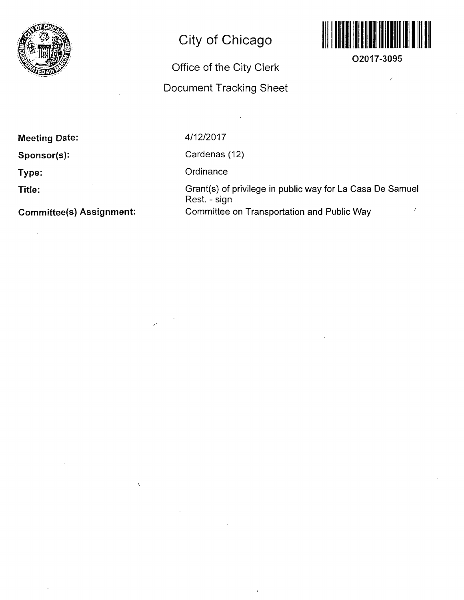

## **City of Chicago**

## Office of the City Cierk

## Document Tracking Sheet



**O2017-3095** 

 $\lambda$ 

**Meeting Date:** 

**Sponsor(s):** 

**Type:** 

**Title:** 

 $\mathcal{L}$ 

**Committee(s) Assignment:** 

4/12/2017

Cardenas (12)

**Ordinance** 

Grant(s) of privilege in public way for La Casa De Samuel Rest. - sign Committee on Transportation and Public Way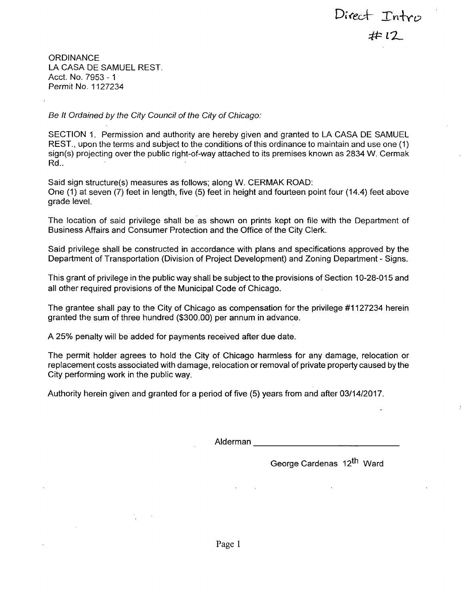Direct Intro  $#12$ 

**ORDINANCE** LA CASA DE SAMUEL REST. Acct. No. 7953 - 1 Permit No. 1127234

Be It Ordained by the City Council of the City of Chicago:

SECTION 1. Permission and authority are hereby given and granted to LA CASA DE SAMUEL REST., upon the terms and subject to the conditions of this ordinance to maintain and use one (1) sign(s) projecting over the public right-of-way attached to its premises known as 2834 W. Cermak Rd..

Said sign structure(s) measures as follows; along W. CERMAK ROAD: One (1) at seven (7) feet in length, five (5) feet in height and fourteen point four (14.4) feet above grade level.

The location of said privilege shall be as shown on prints kept on file with the Department of Business Affairs and Consumer Protection and the Office of the City Clerk.

Said privilege shall be constructed in accordance with plans and specifications approved by the Department of Transportation (Division of Project Development) and Zoning Department - Signs.

This grant of privilege in the public way shall be subject to the provisions of Section 10-28-015 and all other required provisions of the Municipal Code of Chicago.

The grantee shall pay to the City of Chicago as compensation for the privilege #1127234 herein granted the sum of three hundred (\$300.00) per annum in advance.

A 25% penalty will be added for payments received after due date.

The permit holder agrees to hold the City of Chicago harmless for any damage, relocation or replacement costs associated with damage, relocation or removal of private property caused by the City performing work in the public way.

Authority herein given and granted for a period of five (5) years from and after 03/14/2017.

Alderman

George Cardenas 12<sup>th</sup> Ward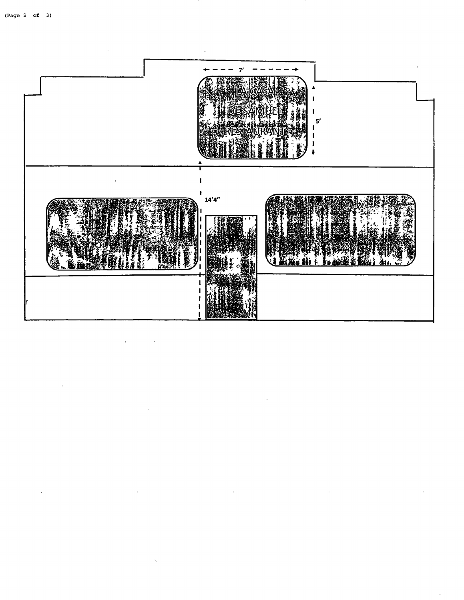$\ddot{\phantom{a}}$ 

 $\hat{\boldsymbol{\beta}}$  $\ddot{\phantom{a}}$ 



 $\ddot{\phantom{0}}$